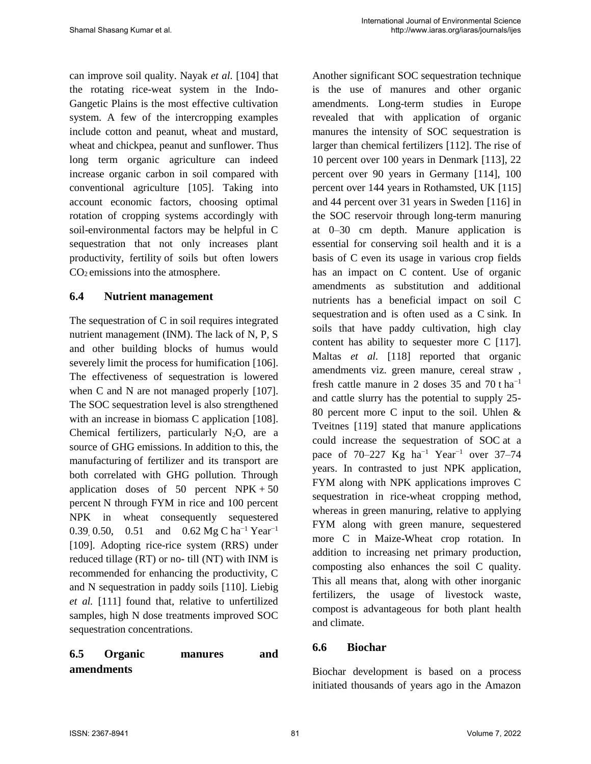can improve soil quality. Nayak *et al.* [104] that the rotating rice-weat system in the Indo-Gangetic Plains is the most effective cultivation system. A few of the intercropping examples include cotton and peanut, wheat and mustard, wheat and chickpea, peanut and sunflower. Thus long term organic agriculture can indeed increase organic carbon in soil compared with conventional agriculture [105]. Taking into account economic factors, choosing optimal rotation of cropping systems accordingly with soil-environmental factors may be helpful in C sequestration that not only increases plant productivity, fertility of soils but often lowers CO2 emissions into the atmosphere.

### **6.4 Nutrient management**

The sequestration of C in soil requires integrated nutrient management (INM). The lack of N, P, S and other building blocks of humus would severely limit the process for humification [106]. The effectiveness of sequestration is lowered when C and N are not managed properly [107]. The SOC sequestration level is also strengthened with an increase in biomass C application [108]. Chemical fertilizers, particularly  $N_2O$ , are a source of GHG emissions. In addition to this, the manufacturing of fertilizer and its transport are both correlated with GHG pollution. Through application doses of 50 percent  $NPK + 50$ percent N through FYM in rice and 100 percent NPK in wheat consequently sequestered 0.39, 0.50, 0.51 and 0.62 Mg C ha<sup>-1</sup> Year<sup>-1</sup> [109]. Adopting rice-rice system (RRS) under reduced tillage (RT) or no- till (NT) with INM is recommended for enhancing the productivity, C and N sequestration in paddy soils [110]. Liebig *et al.* [111] found that, relative to unfertilized samples, high N dose treatments improved SOC sequestration concentrations.

# **6.5 Organic manures and amendments**

Another significant SOC sequestration technique is the use of manures and other organic amendments. Long-term studies in Europe revealed that with application of organic manures the intensity of SOC sequestration is larger than chemical fertilizers [112]. The rise of 10 percent over 100 years in Denmark [113], 22 percent over 90 years in Germany [114], 100 percent over 144 years in Rothamsted, UK [115] and 44 percent over 31 years in Sweden [116] in the SOC reservoir through long-term manuring at 0–30 cm depth. Manure application is essential for conserving soil health and it is a basis of C even its usage in various crop fields has an impact on C content. Use of organic amendments as substitution and additional nutrients has a beneficial impact on soil C sequestration and is often used as a C sink. In soils that have paddy cultivation, high clay content has ability to sequester more C [117]. Maltas *et al.* [118] reported that organic amendments viz. green manure, cereal straw , fresh cattle manure in 2 doses  $35$  and  $70$  t ha<sup>-1</sup> and cattle slurry has the potential to supply 25- 80 percent more C input to the soil. Uhlen & Tveitnes [119] stated that manure applications could increase the sequestration of SOC at a pace of  $70-227$  Kg ha<sup>-1</sup> Year<sup>-1</sup> over 37–74 years. In contrasted to just NPK application, FYM along with NPK applications improves C sequestration in rice-wheat cropping method, whereas in green manuring, relative to applying FYM along with green manure, sequestered more C in Maize-Wheat crop rotation. In addition to increasing net primary production, composting also enhances the soil C quality. This all means that, along with other inorganic fertilizers, the usage of livestock waste, compost is advantageous for both plant health and climate.

## **6.6 Biochar**

Biochar development is based on a process initiated thousands of years ago in the Amazon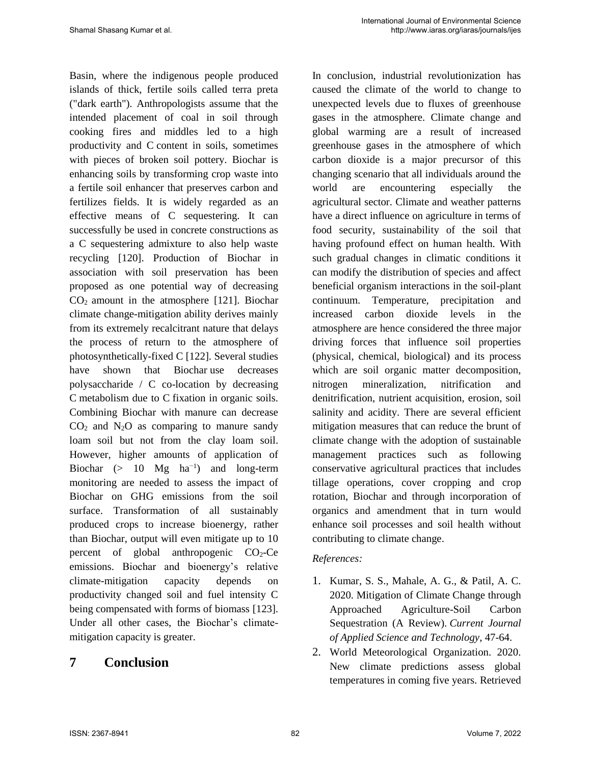Basin, where the indigenous people produced islands of thick, fertile soils called terra preta ("dark earth"). Anthropologists assume that the intended placement of coal in soil through cooking fires and middles led to a high productivity and C content in soils, sometimes with pieces of broken soil pottery. Biochar is enhancing soils by transforming crop waste into a fertile soil enhancer that preserves carbon and fertilizes fields. It is widely regarded as an effective means of C sequestering. It can successfully be used in concrete constructions as a C sequestering admixture to also help waste recycling [120]. Production of Biochar in association with soil preservation has been proposed as one potential way of decreasing  $CO<sub>2</sub>$  amount in the atmosphere [121]. Biochar climate change-mitigation ability derives mainly from its extremely recalcitrant nature that delays the process of return to the atmosphere of photosynthetically-fixed C [122]. Several studies have shown that Biochar use decreases polysaccharide / C co-location by decreasing C metabolism due to C fixation in organic soils. Combining Biochar with manure can decrease  $CO<sub>2</sub>$  and N<sub>2</sub>O as comparing to manure sandy loam soil but not from the clay loam soil. However, higher amounts of application of Biochar (> 10 Mg  $ha^{-1}$ ) and long-term monitoring are needed to assess the impact of Biochar on GHG emissions from the soil surface. Transformation of all sustainably produced crops to increase bioenergy, rather than Biochar, output will even mitigate up to 10 percent of global anthropogenic  $CO<sub>2</sub>-Ce$ emissions. Biochar and bioenergy's relative climate-mitigation capacity depends on productivity changed soil and fuel intensity C being compensated with forms of biomass [123]. Under all other cases, the Biochar's climatemitigation capacity is greater.

## **7 Conclusion**

In conclusion, industrial revolutionization has caused the climate of the world to change to unexpected levels due to fluxes of greenhouse gases in the atmosphere. Climate change and global warming are a result of increased greenhouse gases in the atmosphere of which carbon dioxide is a major precursor of this changing scenario that all individuals around the world are encountering especially the agricultural sector. Climate and weather patterns have a direct influence on agriculture in terms of food security, sustainability of the soil that having profound effect on human health. With such gradual changes in climatic conditions it can modify the distribution of species and affect beneficial organism interactions in the soil-plant continuum. Temperature, precipitation and increased carbon dioxide levels in the atmosphere are hence considered the three major driving forces that influence soil properties (physical, chemical, biological) and its process which are soil organic matter decomposition, nitrogen mineralization, nitrification and denitrification, nutrient acquisition, erosion, soil salinity and acidity. There are several efficient mitigation measures that can reduce the brunt of climate change with the adoption of sustainable management practices such as following conservative agricultural practices that includes tillage operations, cover cropping and crop rotation, Biochar and through incorporation of organics and amendment that in turn would enhance soil processes and soil health without contributing to climate change.

### *References:*

- 1. Kumar, S. S., Mahale, A. G., & Patil, A. C. 2020. Mitigation of Climate Change through Approached Agriculture-Soil Carbon Sequestration (A Review). *Current Journal of Applied Science and Technology*, 47-64.
- 2. World Meteorological Organization. 2020. New climate predictions assess global temperatures in coming five years. Retrieved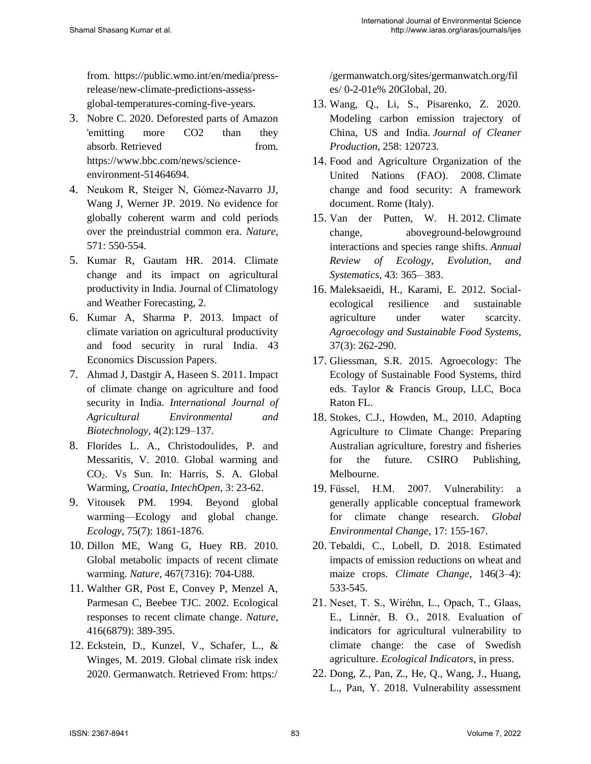from. https://public.wmo.int/en/media/pressrelease/new-climate-predictions-assessglobal-temperatures-coming-five-years.

- 3. Nobre C. 2020. Deforested parts of Amazon 'emitting more CO2 than they absorb. Retrieved from. https://www.bbc.com/news/scienceenvironment-51464694.
- 4. Neukom R, Steiger N, Gómez-Navarro JJ, Wang J, Werner JP. 2019. No evidence for globally coherent warm and cold periods over the preindustrial common era. *Nature*, 571: 550-554.
- 5. Kumar R, Gautam HR. 2014. Climate change and its impact on agricultural productivity in India. Journal of Climatology and Weather Forecasting, 2.
- 6. Kumar A, Sharma P. 2013. Impact of climate variation on agricultural productivity and food security in rural India. 43 Economics Discussion Papers.
- 7. Ahmad J, Dastgir A, Haseen S. 2011. Impact of climate change on agriculture and food security in India. *International Journal of Agricultural Environmental and Biotechnology*, 4(2):129–137.
- 8. Florides L. A., Christodoulides, P. and Messaritis, V. 2010. Global warming and CO2. Vs Sun. In: Harris, S. A. Global Warming, *Croatia, IntechOpen*, 3: 23-62.
- 9. Vitousek PM. 1994. Beyond global warming—Ecology and global change. *Ecology*, 75(7): 1861-1876.
- 10. Dillon ME, Wang G, Huey RB. 2010. Global metabolic impacts of recent climate warming. *Nature*, 467(7316): 704-U88.
- 11. Walther GR, Post E, Convey P, Menzel A, Parmesan C, Beebee TJC. 2002. Ecological responses to recent climate change. *Nature*, 416(6879): 389-395.
- 12. Eckstein, D., Kunzel, V., Schafer, L., & Winges, M. 2019. Global climate risk index 2020. Germanwatch. Retrieved From: https:/

/germanwatch.org/sites/germanwatch.org/fil es/ 0-2-01e% 20Global, 20.

- 13. Wang, Q., Li, S., Pisarenko, Z. 2020. Modeling carbon emission trajectory of China, US and India. *Journal of Cleaner Production*, 258: 120723.
- 14. Food and Agriculture Organization of the United Nations (FAO). 2008. Climate change and food security: A framework document. Rome (Italy).
- 15. Van der Putten, W. H. 2012. Climate change, aboveground-belowground interactions and species range shifts. *Annual Review of Ecology, Evolution, and Systematics,* 43: 365– 383.
- 16. Maleksaeidi, H., Karami, E. 2012. Socialecological resilience and sustainable agriculture under water scarcity. *Agroecology and Sustainable Food Systems*, 37(3): 262-290.
- 17. Gliessman, S.R. 2015. Agroecology: The Ecology of Sustainable Food Systems, third eds. Taylor & Francis Group, LLC, Boca Raton FL.
- 18. Stokes, C.J., Howden, M., 2010. Adapting Agriculture to Climate Change: Preparing Australian agriculture, forestry and fisheries for the future. CSIRO Publishing, Melbourne.
- 19. Füssel, H.M. 2007. Vulnerability: a generally applicable conceptual framework for climate change research. *Global Environmental Change*, 17: 155-167.
- 20. Tebaldi, C., Lobell, D. 2018. Estimated impacts of emission reductions on wheat and maize crops. *Climate Change*, 146(3–4): 533-545.
- 21. Neset, T. S., Wiréhn, L., Opach, T., Glaas, E., Linnér, B. O., 2018. Evaluation of indicators for agricultural vulnerability to climate change: the case of Swedish agriculture. *Ecological Indicators*, in press.
- 22. Dong, Z., Pan, Z., He, Q., Wang, J., Huang, L., Pan, Y. 2018. Vulnerability assessment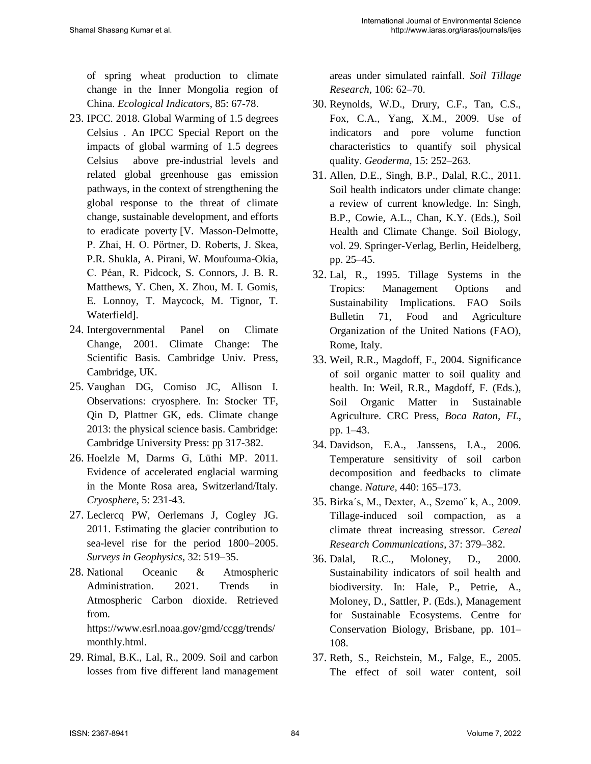of spring wheat production to climate change in the Inner Mongolia region of China. *Ecological Indicators*, 85: 67-78.

- 23. IPCC. 2018. Global Warming of 1.5 degrees Celsius . An IPCC Special Report on the impacts of global warming of 1.5 degrees Celsius above pre-industrial levels and related global greenhouse gas emission pathways, in the context of strengthening the global response to the threat of climate change, sustainable development, and efforts to eradicate poverty [V. Masson-Delmotte, P. Zhai, H. O. Pörtner, D. Roberts, J. Skea, P.R. Shukla, A. Pirani, W. Moufouma-Okia, C. Péan, R. Pidcock, S. Connors, J. B. R. Matthews, Y. Chen, X. Zhou, M. I. Gomis, E. Lonnoy, T. Maycock, M. Tignor, T. Waterfield].
- 24. Intergovernmental Panel on Climate Change, 2001. Climate Change: The Scientific Basis. Cambridge Univ. Press, Cambridge, UK.
- 25. Vaughan DG, Comiso JC, Allison I. Observations: cryosphere. In: Stocker TF, Qin D, Plattner GK, eds. Climate change 2013: the physical science basis. Cambridge: Cambridge University Press: pp 317-382.
- 26. Hoelzle M, Darms G, Lüthi MP. 2011. Evidence of accelerated englacial warming in the Monte Rosa area, Switzerland/Italy. *Cryosphere*, 5: 231-43.
- 27. Leclercq PW, Oerlemans J, Cogley JG. 2011. Estimating the glacier contribution to sea-level rise for the period 1800–2005. *Surveys in Geophysics*, 32: 519–35.
- 28. National Oceanic & Atmospheric Administration. 2021. Trends in Atmospheric Carbon dioxide. Retrieved from. https://www.esrl.noaa.gov/gmd/ccgg/trends/ monthly.html.
- 29. Rimal, B.K., Lal, R., 2009. Soil and carbon losses from five different land management

areas under simulated rainfall. *Soil Tillage Research*, 106: 62–70.

- 30. Reynolds, W.D., Drury, C.F., Tan, C.S., Fox, C.A., Yang, X.M., 2009. Use of indicators and pore volume function characteristics to quantify soil physical quality. *Geoderma,* 15: 252–263.
- 31. Allen, D.E., Singh, B.P., Dalal, R.C., 2011. Soil health indicators under climate change: a review of current knowledge. In: Singh, B.P., Cowie, A.L., Chan, K.Y. (Eds.), Soil Health and Climate Change. Soil Biology, vol. 29. Springer-Verlag, Berlin, Heidelberg, pp. 25–45.
- 32. Lal, R., 1995. Tillage Systems in the Tropics: Management Options and Sustainability Implications. FAO Soils Bulletin 71, Food and Agriculture Organization of the United Nations (FAO), Rome, Italy.
- 33. Weil, R.R., Magdoff, F., 2004. Significance of soil organic matter to soil quality and health. In: Weil, R.R., Magdoff, F. (Eds.), Soil Organic Matter in Sustainable Agriculture. CRC Press, *Boca Raton, FL*, pp. 1–43.
- 34. Davidson, E.A., Janssens, I.A., 2006. Temperature sensitivity of soil carbon decomposition and feedbacks to climate change. *Nature,* 440: 165–173.
- 35. Birka´s, M., Dexter, A., Szemo˝ k, A., 2009. Tillage-induced soil compaction, as a climate threat increasing stressor. *Cereal Research Communications*, 37: 379–382.
- 36. Dalal, R.C., Moloney, D., 2000. Sustainability indicators of soil health and biodiversity. In: Hale, P., Petrie, A., Moloney, D., Sattler, P. (Eds.), Management for Sustainable Ecosystems. Centre for Conservation Biology, Brisbane, pp. 101– 108.
- 37. Reth, S., Reichstein, M., Falge, E., 2005. The effect of soil water content, soil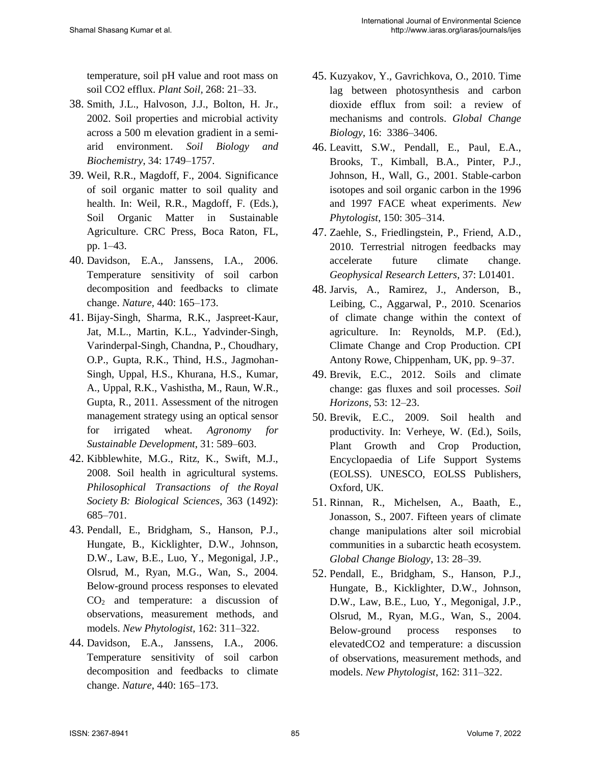temperature, soil pH value and root mass on soil CO2 efflux. *Plant Soil,* 268: 21–33.

- 38. Smith, J.L., Halvoson, J.J., Bolton, H. Jr., 2002. Soil properties and microbial activity across a 500 m elevation gradient in a semiarid environment. *Soil Biology and Biochemistry*, 34: 1749–1757.
- 39. Weil, R.R., Magdoff, F., 2004. Significance of soil organic matter to soil quality and health. In: Weil, R.R., Magdoff, F. (Eds.), Soil Organic Matter in Sustainable Agriculture. CRC Press, Boca Raton, FL, pp. 1–43.
- 40. Davidson, E.A., Janssens, I.A., 2006. Temperature sensitivity of soil carbon decomposition and feedbacks to climate change. *Nature,* 440: 165–173.
- 41. Bijay-Singh, Sharma, R.K., Jaspreet-Kaur, Jat, M.L., Martin, K.L., Yadvinder-Singh, Varinderpal-Singh, Chandna, P., Choudhary, O.P., Gupta, R.K., Thind, H.S., Jagmohan-Singh, Uppal, H.S., Khurana, H.S., Kumar, A., Uppal, R.K., Vashistha, M., Raun, W.R., Gupta, R., 2011. Assessment of the nitrogen management strategy using an optical sensor for irrigated wheat. *Agronomy for Sustainable Development*, 31: 589–603.
- 42. Kibblewhite, M.G., Ritz, K., Swift, M.J., 2008. Soil health in agricultural systems. *Philosophical Transactions of the Royal Society B: Biological Sciences*, 363 (1492): 685–701.
- 43. Pendall, E., Bridgham, S., Hanson, P.J., Hungate, B., Kicklighter, D.W., Johnson, D.W., Law, B.E., Luo, Y., Megonigal, J.P., Olsrud, M., Ryan, M.G., Wan, S., 2004. Below-ground process responses to elevated  $CO<sub>2</sub>$  and temperature: a discussion of observations, measurement methods, and models. *New Phytologist*, 162: 311–322.
- 44. Davidson, E.A., Janssens, I.A., 2006. Temperature sensitivity of soil carbon decomposition and feedbacks to climate change. *Nature*, 440: 165–173.
- 45. Kuzyakov, Y., Gavrichkova, O., 2010. Time lag between photosynthesis and carbon dioxide efflux from soil: a review of mechanisms and controls. *Global Change Biology*, 16: 3386–3406.
- 46. Leavitt, S.W., Pendall, E., Paul, E.A., Brooks, T., Kimball, B.A., Pinter, P.J., Johnson, H., Wall, G., 2001. Stable-carbon isotopes and soil organic carbon in the 1996 and 1997 FACE wheat experiments. *New Phytologist*, 150: 305–314.
- 47. Zaehle, S., Friedlingstein, P., Friend, A.D., 2010. Terrestrial nitrogen feedbacks may accelerate future climate change. *Geophysical Research Letters*, 37: L01401.
- 48. Jarvis, A., Ramirez, J., Anderson, B., Leibing, C., Aggarwal, P., 2010. Scenarios of climate change within the context of agriculture. In: Reynolds, M.P. (Ed.), Climate Change and Crop Production. CPI Antony Rowe, Chippenham, UK, pp. 9–37.
- 49. Brevik, E.C., 2012. Soils and climate change: gas fluxes and soil processes. *Soil Horizons,* 53: 12–23.
- 50. Brevik, E.C., 2009. Soil health and productivity. In: Verheye, W. (Ed.), Soils, Plant Growth and Crop Production, Encyclopaedia of Life Support Systems (EOLSS). UNESCO, EOLSS Publishers, Oxford, UK.
- 51. Rinnan, R., Michelsen, A., Baath, E., Jonasson, S., 2007. Fifteen years of climate change manipulations alter soil microbial communities in a subarctic heath ecosystem. *Global Change Biology*, 13: 28–39.
- 52. Pendall, E., Bridgham, S., Hanson, P.J., Hungate, B., Kicklighter, D.W., Johnson, D.W., Law, B.E., Luo, Y., Megonigal, J.P., Olsrud, M., Ryan, M.G., Wan, S., 2004. Below-ground process responses to elevatedCO2 and temperature: a discussion of observations, measurement methods, and models. *New Phytologist*, 162: 311–322.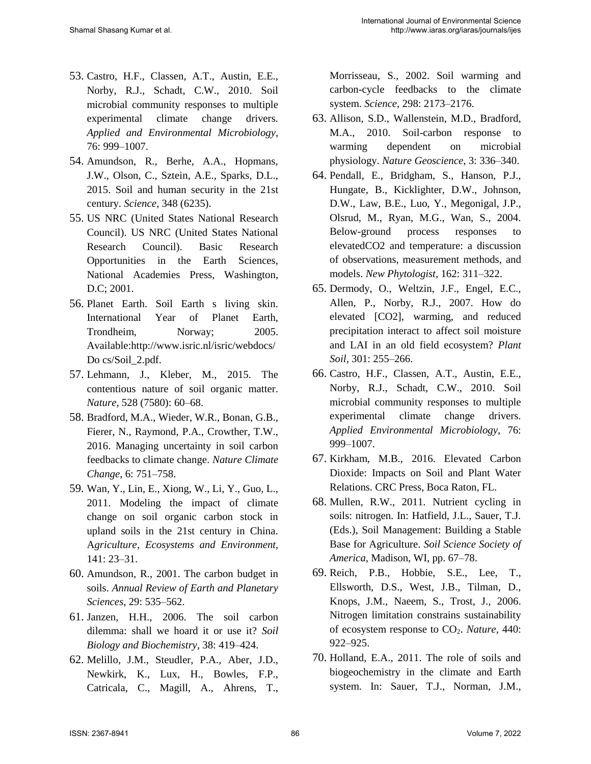- 53. Castro, H.F., Classen, A.T., Austin, E.E., Norby, R.J., Schadt, C.W., 2010. Soil microbial community responses to multiple experimental climate change drivers. *Applied and Environmental Microbiology*, 76: 999–1007.
- 54. Amundson, R., Berhe, A.A., Hopmans, J.W., Olson, C., Sztein, A.E., Sparks, D.L., 2015. Soil and human security in the 21st century. *Science,* 348 (6235).
- 55. US NRC (United States National Research Council). US NRC (United States National Research Council). Basic Research Opportunities in the Earth Sciences, National Academies Press, Washington, D.C; 2001.
- 56. Planet Earth. Soil Earth s living skin. International Year of Planet Earth, Trondheim, Norway; 2005. Available:http://www.isric.nl/isric/webdocs/ Do cs/Soil\_2.pdf.
- 57. Lehmann, J., Kleber, M., 2015. The contentious nature of soil organic matter. *Nature*, 528 (7580): 60–68.
- 58. Bradford, M.A., Wieder, W.R., Bonan, G.B., Fierer, N., Raymond, P.A., Crowther, T.W., 2016. Managing uncertainty in soil carbon feedbacks to climate change. *Nature Climate Change*, 6: 751–758.
- 59. Wan, Y., Lin, E., Xiong, W., Li, Y., Guo, L., 2011. Modeling the impact of climate change on soil organic carbon stock in upland soils in the 21st century in China. A*griculture, Ecosystems and Environment*, 141: 23–31.
- 60. Amundson, R., 2001. The carbon budget in soils. *Annual Review of Earth and Planetary Sciences*, 29: 535–562.
- 61. Janzen, H.H., 2006. The soil carbon dilemma: shall we hoard it or use it? *Soil Biology and Biochemistry*, 38: 419–424.
- 62. Melillo, J.M., Steudler, P.A., Aber, J.D., Newkirk, K., Lux, H., Bowles, F.P., Catricala, C., Magill, A., Ahrens, T.,

Morrisseau, S., 2002. Soil warming and carbon-cycle feedbacks to the climate system. *Science,* 298: 2173–2176.

- 63. Allison, S.D., Wallenstein, M.D., Bradford, M.A., 2010. Soil-carbon response to warming dependent on microbial physiology. *Nature Geoscience*, 3: 336–340.
- 64. Pendall, E., Bridgham, S., Hanson, P.J., Hungate, B., Kicklighter, D.W., Johnson, D.W., Law, B.E., Luo, Y., Megonigal, J.P., Olsrud, M., Ryan, M.G., Wan, S., 2004. Below-ground process responses to elevatedCO2 and temperature: a discussion of observations, measurement methods, and models. *New Phytologist*, 162: 311–322.
- 65. Dermody, O., Weltzin, J.F., Engel, E.C., Allen, P., Norby, R.J., 2007. How do elevated [CO2], warming, and reduced precipitation interact to affect soil moisture and LAI in an old field ecosystem? *Plant Soil,* 301: 255–266.
- 66. Castro, H.F., Classen, A.T., Austin, E.E., Norby, R.J., Schadt, C.W., 2010. Soil microbial community responses to multiple experimental climate change drivers. *Applied Environmental Microbiology*, 76: 999–1007.
- 67. Kirkham, M.B., 2016. Elevated Carbon Dioxide: Impacts on Soil and Plant Water Relations. CRC Press, Boca Raton, FL.
- 68. Mullen, R.W., 2011. Nutrient cycling in soils: nitrogen. In: Hatfield, J.L., Sauer, T.J. (Eds.), Soil Management: Building a Stable Base for Agriculture. *Soil Science Society of America*, Madison, WI, pp. 67–78.
- 69. Reich, P.B., Hobbie, S.E., Lee, T., Ellsworth, D.S., West, J.B., Tilman, D., Knops, J.M., Naeem, S., Trost, J., 2006. Nitrogen limitation constrains sustainability of ecosystem response to CO2. *Nature,* 440: 922–925.
- 70. Holland, E.A., 2011. The role of soils and biogeochemistry in the climate and Earth system. In: Sauer, T.J., Norman, J.M.,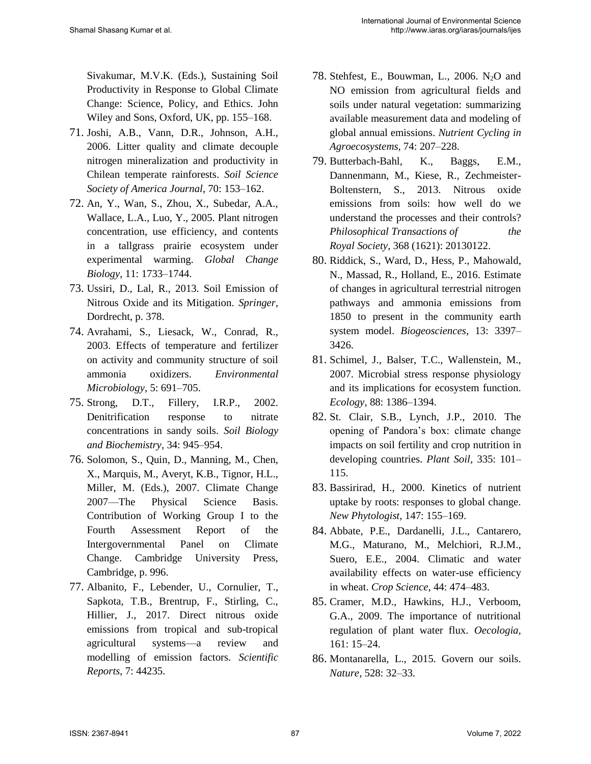Sivakumar, M.V.K. (Eds.), Sustaining Soil Productivity in Response to Global Climate Change: Science, Policy, and Ethics. John Wiley and Sons, Oxford, UK, pp. 155–168.

- 71. Joshi, A.B., Vann, D.R., Johnson, A.H., 2006. Litter quality and climate decouple nitrogen mineralization and productivity in Chilean temperate rainforests. *Soil Science Society of America Journal*, 70: 153–162.
- 72. An, Y., Wan, S., Zhou, X., Subedar, A.A., Wallace, L.A., Luo, Y., 2005. Plant nitrogen concentration, use efficiency, and contents in a tallgrass prairie ecosystem under experimental warming. *Global Change Biology*, 11: 1733–1744.
- 73. Ussiri, D., Lal, R., 2013. Soil Emission of Nitrous Oxide and its Mitigation. *Springer*, Dordrecht, p. 378.
- 74. Avrahami, S., Liesack, W., Conrad, R., 2003. Effects of temperature and fertilizer on activity and community structure of soil ammonia oxidizers. *Environmental Microbiology*, 5: 691–705.
- 75. Strong, D.T., Fillery, I.R.P., 2002. Denitrification response to nitrate concentrations in sandy soils. *Soil Biology and Biochemistry*, 34: 945–954.
- 76. Solomon, S., Quin, D., Manning, M., Chen, X., Marquis, M., Averyt, K.B., Tignor, H.L., Miller, M. (Eds.), 2007. Climate Change 2007—The Physical Science Basis. Contribution of Working Group I to the Fourth Assessment Report of the Intergovernmental Panel on Climate Change. Cambridge University Press, Cambridge, p. 996.
- 77. Albanito, F., Lebender, U., Cornulier, T., Sapkota, T.B., Brentrup, F., Stirling, C., Hillier, J., 2017. Direct nitrous oxide emissions from tropical and sub-tropical agricultural systems—a review and modelling of emission factors. *Scientific Reports*, 7: 44235.
- 78. Stehfest, E., Bouwman, L., 2006.  $N_2O$  and NO emission from agricultural fields and soils under natural vegetation: summarizing available measurement data and modeling of global annual emissions. *Nutrient Cycling in Agroecosystems*, 74: 207–228.
- 79. Butterbach-Bahl, K., Baggs, E.M., Dannenmann, M., Kiese, R., Zechmeister-Boltenstern, S., 2013. Nitrous oxide emissions from soils: how well do we understand the processes and their controls? *Philosophical Transactions of the Royal Society*, 368 (1621): 20130122.
- 80. Riddick, S., Ward, D., Hess, P., Mahowald, N., Massad, R., Holland, E., 2016. Estimate of changes in agricultural terrestrial nitrogen pathways and ammonia emissions from 1850 to present in the community earth system model. *Biogeosciences,* 13: 3397– 3426.
- 81. Schimel, J., Balser, T.C., Wallenstein, M., 2007. Microbial stress response physiology and its implications for ecosystem function. *Ecology,* 88: 1386–1394.
- 82. St. Clair, S.B., Lynch, J.P., 2010. The opening of Pandora's box: climate change impacts on soil fertility and crop nutrition in developing countries. *Plant Soil,* 335: 101– 115.
- 83. Bassirirad, H., 2000. Kinetics of nutrient uptake by roots: responses to global change. *New Phytologist*, 147: 155–169.
- 84. Abbate, P.E., Dardanelli, J.L., Cantarero, M.G., Maturano, M., Melchiori, R.J.M., Suero, E.E., 2004. Climatic and water availability effects on water-use efficiency in wheat. *Crop Science*, 44: 474–483.
- 85. Cramer, M.D., Hawkins, H.J., Verboom, G.A., 2009. The importance of nutritional regulation of plant water flux. *Oecologia,* 161: 15–24.
- 86. Montanarella, L., 2015. Govern our soils. *Nature,* 528: 32–33.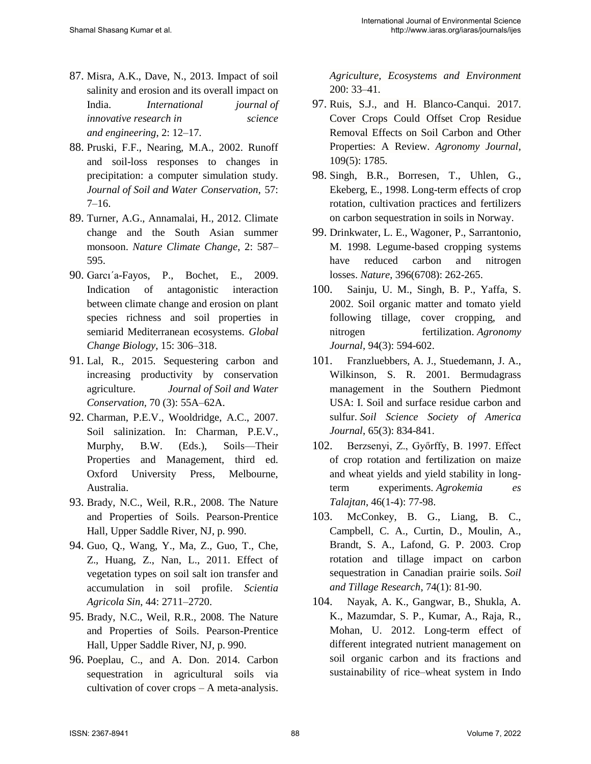- 87. Misra, A.K., Dave, N., 2013. Impact of soil salinity and erosion and its overall impact on India. *International journal of innovative research in science and engineering*, 2: 12–17.
- 88. Pruski, F.F., Nearing, M.A., 2002. Runoff and soil-loss responses to changes in precipitation: a computer simulation study. *Journal of Soil and Water Conservation*, 57:  $7-16.$
- 89. Turner, A.G., Annamalai, H., 2012. Climate change and the South Asian summer monsoon. *Nature Climate Change*, 2: 587– 595.
- 90. Garcı´a-Fayos, P., Bochet, E., 2009. Indication of antagonistic interaction between climate change and erosion on plant species richness and soil properties in semiarid Mediterranean ecosystems. *Global Change Biology*, 15: 306–318.
- 91. Lal, R., 2015. Sequestering carbon and increasing productivity by conservation agriculture. *Journal of Soil and Water Conservation,* 70 (3): 55A–62A.
- 92. Charman, P.E.V., Wooldridge, A.C., 2007. Soil salinization. In: Charman, P.E.V., Murphy, B.W. (Eds.), Soils—Their Properties and Management, third ed. Oxford University Press, Melbourne, Australia.
- 93. Brady, N.C., Weil, R.R., 2008. The Nature and Properties of Soils. Pearson-Prentice Hall, Upper Saddle River, NJ, p. 990.
- 94. Guo, Q., Wang, Y., Ma, Z., Guo, T., Che, Z., Huang, Z., Nan, L., 2011. Effect of vegetation types on soil salt ion transfer and accumulation in soil profile. *Scientia Agricola Sin*, 44: 2711–2720.
- 95. Brady, N.C., Weil, R.R., 2008. The Nature and Properties of Soils. Pearson-Prentice Hall, Upper Saddle River, NJ, p. 990.
- 96. Poeplau, C., and A. Don. 2014. Carbon sequestration in agricultural soils via cultivation of cover crops – A meta-analysis.

*Agriculture, Ecosystems and Environment* 200: 33–41.

- 97. Ruis, S.J., and H. Blanco-Canqui. 2017. Cover Crops Could Offset Crop Residue Removal Effects on Soil Carbon and Other Properties: A Review. *Agronomy Journal,* 109(5): 1785.
- 98. Singh, B.R., Borresen, T., Uhlen, G., Ekeberg, E., 1998. Long-term effects of crop rotation, cultivation practices and fertilizers on [carbon sequestration in soils in Norway.](http://agris.fao.org/agris-search/search.do?recordID=US1997062227)
- 99. Drinkwater, L. E., Wagoner, P., Sarrantonio, M. 1998. Legume-based cropping systems have reduced carbon and nitrogen losses. *Nature*, 396(6708): 262-265.
- 100. Sainju, U. M., Singh, B. P., Yaffa, S. 2002. Soil organic matter and tomato yield following tillage, cover cropping, and nitrogen fertilization. *Agronomy Journal*, 94(3): 594-602.
- 101. Franzluebbers, A. J., Stuedemann, J. A., Wilkinson, S. R. 2001. Bermudagrass management in the Southern Piedmont USA: I. Soil and surface residue carbon and sulfur. *Soil Science Society of America Journal*, 65(3): 834-841.
- 102. Berzsenyi, Z., Győrffy, B. 1997. Effect of crop rotation and fertilization on maize and wheat yields and yield stability in longterm experiments. *Agrokemia es Talajtan*, 46(1-4): 77-98.
- 103. McConkey, B. G., Liang, B. C., Campbell, C. A., Curtin, D., Moulin, A., Brandt, S. A., Lafond, G. P. 2003. Crop rotation and tillage impact on carbon sequestration in Canadian prairie soils. *Soil and Tillage Research*, 74(1): 81-90.
- 104. Nayak, A. K., Gangwar, B., Shukla, A. K., Mazumdar, S. P., Kumar, A., Raja, R., Mohan, U. 2012. Long-term effect of different integrated nutrient management on soil organic carbon and its fractions and sustainability of rice–wheat system in Indo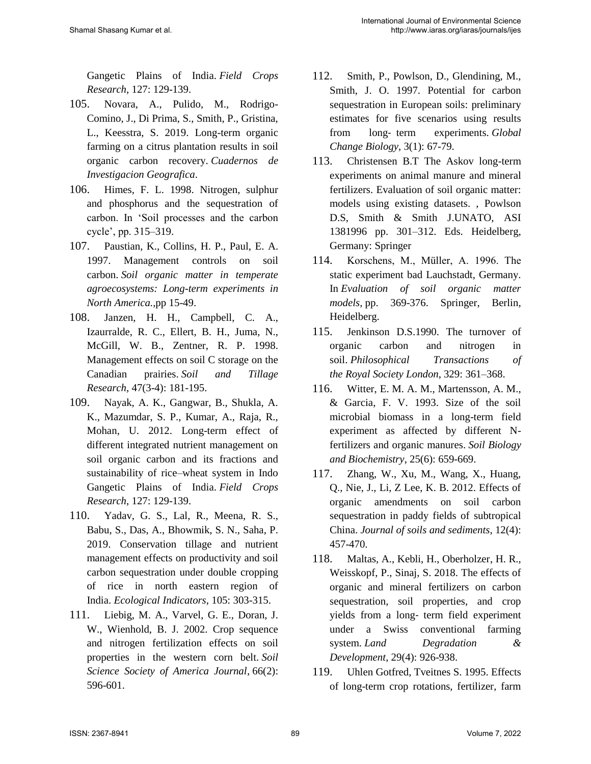Gangetic Plains of India. *Field Crops Research*, 127: 129-139.

- 105. Novara, A., Pulido, M., Rodrigo-Comino, J., Di Prima, S., Smith, P., Gristina, L., Keesstra, S. 2019. Long-term organic farming on a citrus plantation results in soil organic carbon recovery. *Cuadernos de Investigacion Geografica*.
- 106. Himes, F. L. 1998. Nitrogen, sulphur and phosphorus and the sequestration of carbon. In 'Soil processes and the carbon cycle', pp. 315–319.
- 107. Paustian, K., Collins, H. P., Paul, E. A. 1997. Management controls on soil carbon. *Soil organic matter in temperate agroecosystems: Long-term experiments in North America.*,pp 15-49.
- 108. Janzen, H. H., Campbell, C. A., Izaurralde, R. C., Ellert, B. H., Juma, N., McGill, W. B., Zentner, R. P. 1998. Management effects on soil C storage on the Canadian prairies. *Soil and Tillage Research*, 47(3-4): 181-195.
- 109. Nayak, A. K., Gangwar, B., Shukla, A. K., Mazumdar, S. P., Kumar, A., Raja, R., Mohan, U. 2012. Long-term effect of different integrated nutrient management on soil organic carbon and its fractions and sustainability of rice–wheat system in Indo Gangetic Plains of India. *Field Crops Research*, 127: 129-139.
- 110. Yadav, G. S., Lal, R., Meena, R. S., Babu, S., Das, A., Bhowmik, S. N., Saha, P. 2019. Conservation tillage and nutrient management effects on productivity and soil carbon sequestration under double cropping of rice in north eastern region of India. *Ecological Indicators*, 105: 303-315.
- 111. Liebig, M. A., Varvel, G. E., Doran, J. W., Wienhold, B. J. 2002. Crop sequence and nitrogen fertilization effects on soil properties in the western corn belt. *Soil Science Society of America Journal*, 66(2): 596-601.
- 112. Smith, P., Powlson, D., Glendining, M., Smith, J. O. 1997. Potential for carbon sequestration in European soils: preliminary estimates for five scenarios using results from long‐ term experiments. *Global Change Biology*, 3(1): 67-79.
- 113. Christensen B.T The Askov long-term experiments on animal manure and mineral fertilizers. Evaluation of soil organic matter: models using existing datasets. , Powlson D.S, Smith & Smith J.UNATO, ASI 1381996 pp. 301–312. Eds. Heidelberg, Germany: Springer
- 114. Korschens, M., Müller, A. 1996. The static experiment bad Lauchstadt, Germany. In *Evaluation of soil organic matter models,* pp. 369-376. Springer, Berlin, Heidelberg.
- 115. Jenkinson D.S.1990. The turnover of organic carbon and nitrogen in soil. *Philosophical Transactions of the Royal Society London*, 329: 361–368.
- 116. Witter, E. M. A. M., Martensson, A. M., & Garcia, F. V. 1993. Size of the soil microbial biomass in a long-term field experiment as affected by different Nfertilizers and organic manures. *Soil Biology and Biochemistry*, 25(6): 659-669.
- 117. Zhang, W., Xu, M., Wang, X., Huang, Q., Nie, J., Li, Z Lee, K. B. 2012. Effects of organic amendments on soil carbon sequestration in paddy fields of subtropical China. *Journal of soils and sediments*, 12(4): 457-470.
- 118. Maltas, A., Kebli, H., Oberholzer, H. R., Weisskopf, P., Sinaj, S. 2018. The effects of organic and mineral fertilizers on carbon sequestration, soil properties, and crop yields from a long‐ term field experiment under a Swiss conventional farming system. *Land Degradation & Development*, 29(4): 926-938.
- 119. Uhlen Gotfred, Tveitnes S. 1995. Effects of long-term crop rotations, fertilizer, farm